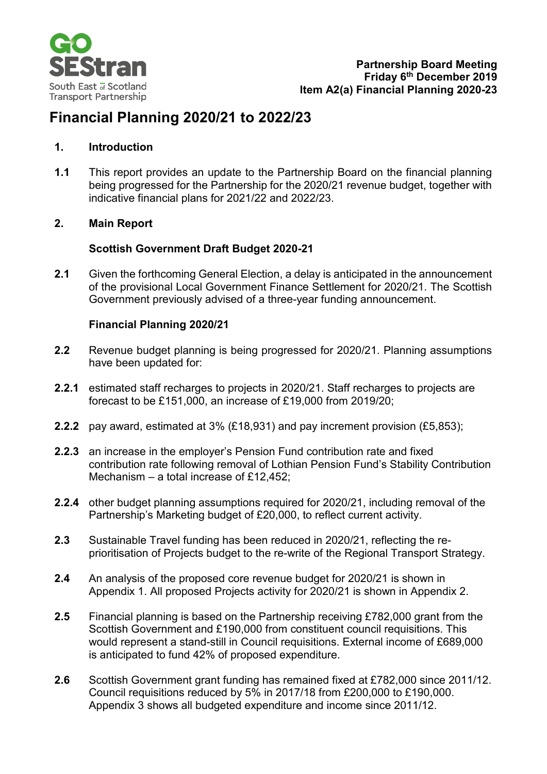

# **Financial Planning 2020/21 to 2022/23**

#### **1. Introduction**

**1.1** This report provides an update to the Partnership Board on the financial planning being progressed for the Partnership for the 2020/21 revenue budget, together with indicative financial plans for 2021/22 and 2022/23.

#### **2. Main Report**

#### **Scottish Government Draft Budget 2020-21**

**2.1** Given the forthcoming General Election, a delay is anticipated in the announcement of the provisional Local Government Finance Settlement for 2020/21. The Scottish Government previously advised of a three-year funding announcement.

#### **Financial Planning 2020/21**

- **2.2** Revenue budget planning is being progressed for 2020/21. Planning assumptions have been updated for:
- **2.2.1** estimated staff recharges to projects in 2020/21. Staff recharges to projects are forecast to be £151,000, an increase of £19,000 from 2019/20;
- **2.2.2** pay award, estimated at 3% (£18,931) and pay increment provision (£5,853);
- **2.2.3** an increase in the employer's Pension Fund contribution rate and fixed contribution rate following removal of Lothian Pension Fund's Stability Contribution Mechanism – a total increase of £12,452;
- **2.2.4** other budget planning assumptions required for 2020/21, including removal of the Partnership's Marketing budget of £20,000, to reflect current activity.
- **2.3** Sustainable Travel funding has been reduced in 2020/21, reflecting the reprioritisation of Projects budget to the re-write of the Regional Transport Strategy.
- **2.4** An analysis of the proposed core revenue budget for 2020/21 is shown in Appendix 1. All proposed Projects activity for 2020/21 is shown in Appendix 2.
- **2.5** Financial planning is based on the Partnership receiving £782,000 grant from the Scottish Government and £190,000 from constituent council requisitions. This would represent a stand-still in Council requisitions. External income of £689,000 is anticipated to fund 42% of proposed expenditure.
- **2.6** Scottish Government grant funding has remained fixed at £782,000 since 2011/12. Council requisitions reduced by 5% in 2017/18 from £200,000 to £190,000. Appendix 3 shows all budgeted expenditure and income since 2011/12.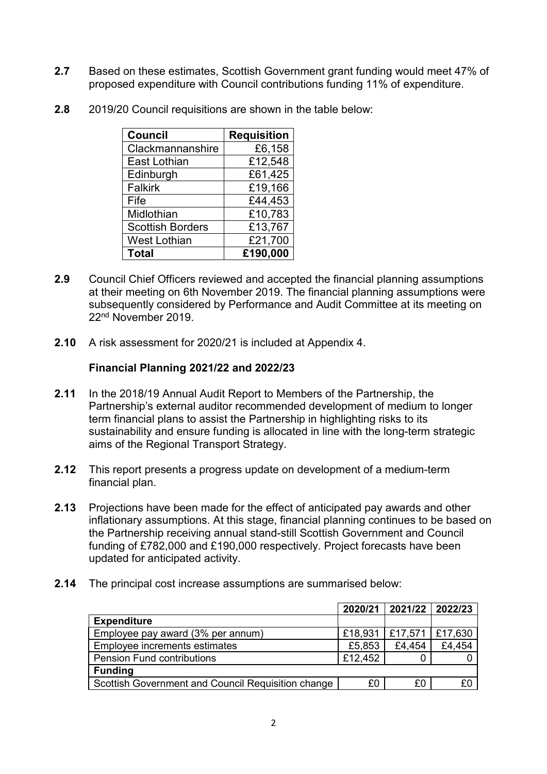- **2.7** Based on these estimates, Scottish Government grant funding would meet 47% of proposed expenditure with Council contributions funding 11% of expenditure.
- **2.8** 2019/20 Council requisitions are shown in the table below:

| <b>Council</b>          | <b>Requisition</b> |
|-------------------------|--------------------|
| Clackmannanshire        | £6,158             |
| <b>East Lothian</b>     | £12,548            |
| Edinburgh               | £61,425            |
| <b>Falkirk</b>          | £19,166            |
| Fife                    | £44,453            |
| Midlothian              | £10,783            |
| <b>Scottish Borders</b> | £13,767            |
| <b>West Lothian</b>     | £21,700            |
| <b>Total</b>            | £190,000           |

- **2.9** Council Chief Officers reviewed and accepted the financial planning assumptions at their meeting on 6th November 2019. The financial planning assumptions were subsequently considered by Performance and Audit Committee at its meeting on 22nd November 2019.
- **2.10** A risk assessment for 2020/21 is included at Appendix 4.

#### **Financial Planning 2021/22 and 2022/23**

- **2.11** In the 2018/19 Annual Audit Report to Members of the Partnership, the Partnership's external auditor recommended development of medium to longer term financial plans to assist the Partnership in highlighting risks to its sustainability and ensure funding is allocated in line with the long-term strategic aims of the Regional Transport Strategy.
- **2.12** This report presents a progress update on development of a medium-term financial plan.
- **2.13** Projections have been made for the effect of anticipated pay awards and other inflationary assumptions. At this stage, financial planning continues to be based on the Partnership receiving annual stand-still Scottish Government and Council funding of £782,000 and £190,000 respectively. Project forecasts have been updated for anticipated activity.
- **2.14** The principal cost increase assumptions are summarised below:

|                                                    |         | 2020/21 2021/22 2022/23     |        |
|----------------------------------------------------|---------|-----------------------------|--------|
| <b>Expenditure</b>                                 |         |                             |        |
| Employee pay award (3% per annum)                  |         | £18,931   £17,571   £17,630 |        |
| Employee increments estimates                      | £5,853  | £4,454                      | £4,454 |
| <b>Pension Fund contributions</b>                  | £12,452 |                             |        |
| <b>Funding</b>                                     |         |                             |        |
| Scottish Government and Council Requisition change | £0      | £0                          |        |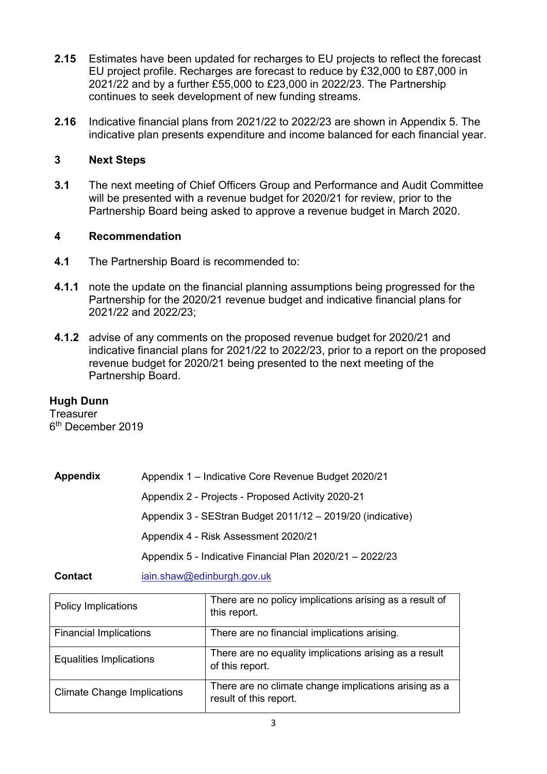- **2.15** Estimates have been updated for recharges to EU projects to reflect the forecast EU project profile. Recharges are forecast to reduce by £32,000 to £87,000 in 2021/22 and by a further £55,000 to £23,000 in 2022/23. The Partnership continues to seek development of new funding streams.
- **2.16** Indicative financial plans from 2021/22 to 2022/23 are shown in Appendix 5. The indicative plan presents expenditure and income balanced for each financial year.

### **3 Next Steps**

**3.1** The next meeting of Chief Officers Group and Performance and Audit Committee will be presented with a revenue budget for 2020/21 for review, prior to the Partnership Board being asked to approve a revenue budget in March 2020.

### **4 Recommendation**

- **4.1** The Partnership Board is recommended to:
- **4.1.1** note the update on the financial planning assumptions being progressed for the Partnership for the 2020/21 revenue budget and indicative financial plans for 2021/22 and 2022/23;
- **4.1.2** advise of any comments on the proposed revenue budget for 2020/21 and indicative financial plans for 2021/22 to 2022/23, prior to a report on the proposed revenue budget for 2020/21 being presented to the next meeting of the Partnership Board.

### **Hugh Dunn**

**Treasurer** 6th December 2019

| <b>Appendix</b> | Appendix 1 - Indicative Core Revenue Budget 2020/21        |
|-----------------|------------------------------------------------------------|
|                 | Appendix 2 - Projects - Proposed Activity 2020-21          |
|                 | Appendix 3 - SEStran Budget 2011/12 - 2019/20 (indicative) |
|                 | Appendix 4 - Risk Assessment 2020/21                       |
|                 | Appendix 5 - Indicative Financial Plan 2020/21 - 2022/23   |
| <b>Contact</b>  | iain.shaw@edinburgh.gov.uk                                 |

| <b>Policy Implications</b>         | There are no policy implications arising as a result of<br>this report.         |
|------------------------------------|---------------------------------------------------------------------------------|
| <b>Financial Implications</b>      | There are no financial implications arising.                                    |
| <b>Equalities Implications</b>     | There are no equality implications arising as a result<br>of this report.       |
| <b>Climate Change Implications</b> | There are no climate change implications arising as a<br>result of this report. |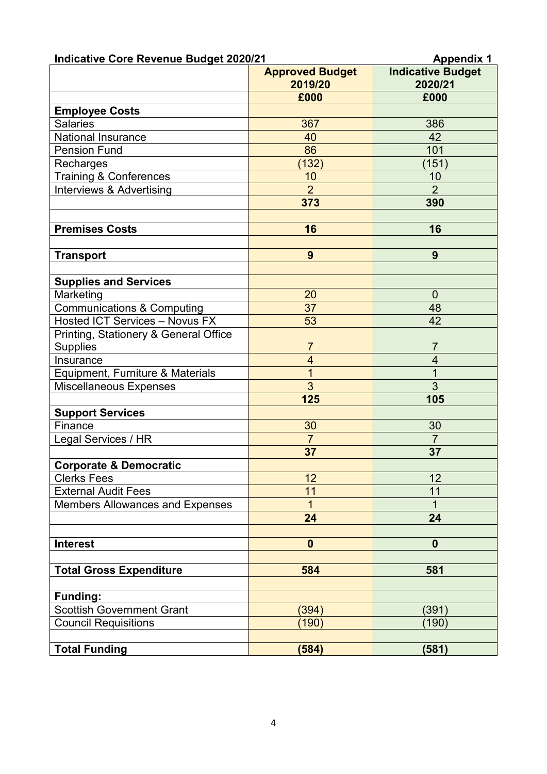| <b>Indicative Core Revenue Budget 2020/21</b> | <b>Appendix 1</b>                 |                                     |  |
|-----------------------------------------------|-----------------------------------|-------------------------------------|--|
|                                               | <b>Approved Budget</b><br>2019/20 | <b>Indicative Budget</b><br>2020/21 |  |
|                                               | £000                              | £000                                |  |
| <b>Employee Costs</b>                         |                                   |                                     |  |
| <b>Salaries</b>                               | 367                               | 386                                 |  |
| <b>National Insurance</b>                     | 40                                | 42                                  |  |
| <b>Pension Fund</b>                           | 86                                | 101                                 |  |
| Recharges                                     | (132)                             | (151)                               |  |
| <b>Training &amp; Conferences</b>             | 10                                | 10                                  |  |
| Interviews & Advertising                      | $\overline{2}$                    | $\overline{2}$                      |  |
|                                               | 373                               | 390                                 |  |
|                                               |                                   |                                     |  |
| <b>Premises Costs</b>                         | 16                                | 16                                  |  |
| <b>Transport</b>                              | 9                                 | 9                                   |  |
| <b>Supplies and Services</b>                  |                                   |                                     |  |
| Marketing                                     | 20                                | $\overline{0}$                      |  |
| Communications & Computing                    | 37                                | 48                                  |  |
| <b>Hosted ICT Services - Novus FX</b>         | 53                                | 42                                  |  |
| Printing, Stationery & General Office         |                                   |                                     |  |
| <b>Supplies</b>                               | $\overline{7}$                    | $\overline{7}$                      |  |
| Insurance                                     | $\overline{4}$                    | $\overline{\mathcal{A}}$            |  |
| Equipment, Furniture & Materials              | $\overline{1}$                    | $\overline{1}$                      |  |
| Miscellaneous Expenses                        | 3                                 | $\overline{3}$                      |  |
|                                               | 125                               | 105                                 |  |
| <b>Support Services</b>                       |                                   |                                     |  |
| Finance                                       | 30                                | 30                                  |  |
| Legal Services / HR                           | $\overline{7}$                    | $\overline{7}$                      |  |
|                                               | 37                                | 37                                  |  |
| <b>Corporate &amp; Democratic</b>             |                                   |                                     |  |
| <b>Clerks Fees</b>                            | 12                                | 12                                  |  |
| <b>External Audit Fees</b>                    | 11                                | 11                                  |  |
| <b>Members Allowances and Expenses</b>        | $\overline{1}$                    | $\overline{1}$                      |  |
|                                               | 24                                | 24                                  |  |
| <b>Interest</b>                               | $\boldsymbol{0}$                  | $\mathbf 0$                         |  |
|                                               |                                   |                                     |  |
| <b>Total Gross Expenditure</b>                | 584                               | 581                                 |  |
| <b>Funding:</b>                               |                                   |                                     |  |
| <b>Scottish Government Grant</b>              | (394)                             | (391)                               |  |
| <b>Council Requisitions</b>                   | (190)                             | (190)                               |  |
| <b>Total Funding</b>                          | (584)                             | (581)                               |  |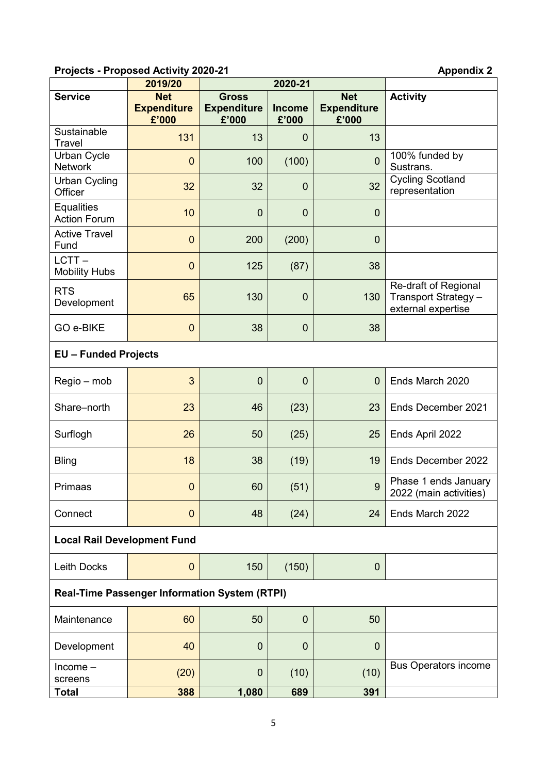## **Projects - Proposed Activity 2020-21 Appendix 2**

|                                                      | 2019/20                                   | 2020-21                                     |                        |                                           |                                                                    |  |  |
|------------------------------------------------------|-------------------------------------------|---------------------------------------------|------------------------|-------------------------------------------|--------------------------------------------------------------------|--|--|
| <b>Service</b>                                       | <b>Net</b><br><b>Expenditure</b><br>£'000 | <b>Gross</b><br><b>Expenditure</b><br>£'000 | <b>Income</b><br>£'000 | <b>Net</b><br><b>Expenditure</b><br>£'000 | <b>Activity</b>                                                    |  |  |
| Sustainable<br><b>Travel</b>                         | 131                                       | 13                                          | $\overline{0}$         | 13                                        |                                                                    |  |  |
| <b>Urban Cycle</b><br><b>Network</b>                 | $\overline{0}$                            | 100                                         | (100)                  | $\mathbf 0$                               | 100% funded by<br>Sustrans.                                        |  |  |
| <b>Urban Cycling</b><br>Officer                      | 32                                        | 32                                          | $\mathbf 0$            | 32                                        | <b>Cycling Scotland</b><br>representation                          |  |  |
| <b>Equalities</b><br><b>Action Forum</b>             | 10                                        | $\mathbf 0$                                 | $\mathbf 0$            | $\mathbf 0$                               |                                                                    |  |  |
| <b>Active Travel</b><br>Fund                         | $\overline{0}$                            | 200                                         | (200)                  | $\mathbf 0$                               |                                                                    |  |  |
| $LCTT -$<br><b>Mobility Hubs</b>                     | $\mathbf 0$                               | 125                                         | (87)                   | 38                                        |                                                                    |  |  |
| <b>RTS</b><br>Development                            | 65                                        | 130                                         | $\mathbf 0$            | 130                                       | Re-draft of Regional<br>Transport Strategy -<br>external expertise |  |  |
| GO e-BIKE                                            | $\mathbf 0$                               | 38                                          | $\overline{0}$         | 38                                        |                                                                    |  |  |
| <b>EU - Funded Projects</b>                          |                                           |                                             |                        |                                           |                                                                    |  |  |
| Regio – mob                                          | 3                                         | $\mathbf 0$                                 | $\overline{0}$         | $\overline{0}$                            | Ends March 2020                                                    |  |  |
| Share-north                                          | 23                                        | 46                                          | (23)                   | 23                                        | Ends December 2021                                                 |  |  |
| Surflogh                                             | 26                                        | 50                                          | (25)                   | 25                                        | Ends April 2022                                                    |  |  |
| <b>Bling</b>                                         | 18                                        | 38                                          | (19)                   | 19                                        | Ends December 2022                                                 |  |  |
| Primaas                                              | $\mathbf 0$                               | 60                                          | (51)                   | $\overline{9}$                            | Phase 1 ends January<br>2022 (main activities)                     |  |  |
| Connect                                              | $\mathbf{0}$                              | 48                                          | (24)                   | 24                                        | Ends March 2022                                                    |  |  |
| <b>Local Rail Development Fund</b>                   |                                           |                                             |                        |                                           |                                                                    |  |  |
| Leith Docks                                          | $\mathbf{0}$                              | 150                                         | (150)                  | 0                                         |                                                                    |  |  |
| <b>Real-Time Passenger Information System (RTPI)</b> |                                           |                                             |                        |                                           |                                                                    |  |  |
| Maintenance                                          | 60                                        | 50                                          | $\mathbf{0}$           | 50                                        |                                                                    |  |  |
| Development                                          | 40                                        | $\mathbf 0$                                 | $\mathbf 0$            | $\mathbf{0}$                              |                                                                    |  |  |
| $Income-$<br>screens                                 | (20)                                      | $\mathbf 0$                                 | (10)                   | (10)                                      | <b>Bus Operators income</b>                                        |  |  |
| <b>Total</b>                                         | 388                                       | 1,080                                       | 689                    | 391                                       |                                                                    |  |  |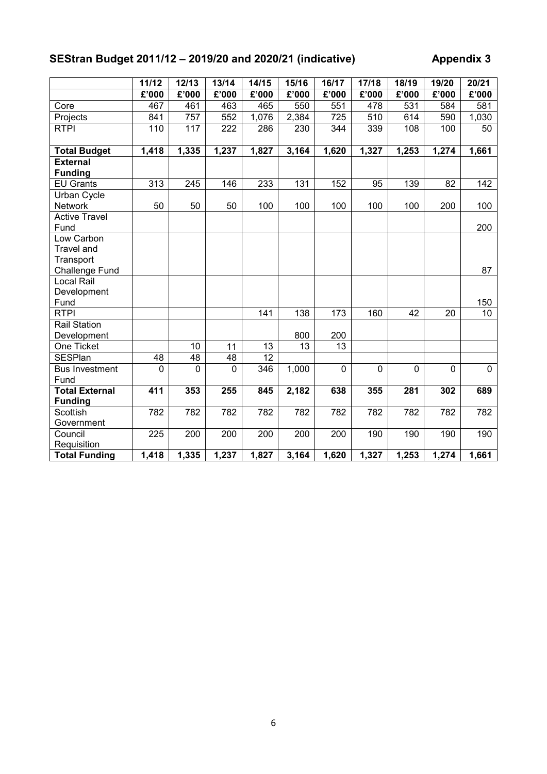## **SEStran Budget 2011/12 – 2019/20 and 2020/21 (indicative) Appendix 3**

|                                   | 11/12       | 12/13       | 13/14    | 14/15           | 15/16 | 16/17          | 17/18              | 18/19       | 19/20        | 20/21    |
|-----------------------------------|-------------|-------------|----------|-----------------|-------|----------------|--------------------|-------------|--------------|----------|
|                                   | £'000       | £'000       | £'000    | £'000           | £'000 | £'000          | £'000              | £'000       | £'000        | £'000    |
| Core                              | 467         | 461         | 463      | 465             | 550   | 551            | 478                | 531         | 584          | 581      |
| Projects                          | 841         | 757         | 552      | 1,076           | 2,384 | 725            | 510                | 614         | 590          | 1,030    |
| <b>RTPI</b>                       | 110         | 117         | 222      | 286             | 230   | 344            | 339                | 108         | 100          | 50       |
|                                   |             |             |          |                 |       |                |                    |             |              |          |
| <b>Total Budget</b>               | 1,418       | 1,335       | 1,237    | 1,827           | 3,164 | 1,620          | 1,327              | 1,253       | 1,274        | 1,661    |
| <b>External</b><br><b>Funding</b> |             |             |          |                 |       |                |                    |             |              |          |
| <b>EU Grants</b>                  | 313         | 245         | 146      | 233             | 131   | 152            | 95                 | 139         | 82           | 142      |
| <b>Urban Cycle</b>                |             |             |          |                 |       |                |                    |             |              |          |
| Network                           | 50          | 50          | 50       | 100             | 100   | 100            | 100                | 100         | 200          | 100      |
| <b>Active Travel</b>              |             |             |          |                 |       |                |                    |             |              |          |
| Fund                              |             |             |          |                 |       |                |                    |             |              | 200      |
| Low Carbon                        |             |             |          |                 |       |                |                    |             |              |          |
| <b>Travel and</b>                 |             |             |          |                 |       |                |                    |             |              |          |
| Transport                         |             |             |          |                 |       |                |                    |             |              |          |
| Challenge Fund                    |             |             |          |                 |       |                |                    |             |              | 87       |
| Local Rail                        |             |             |          |                 |       |                |                    |             |              |          |
| Development                       |             |             |          |                 |       |                |                    |             |              |          |
| Fund                              |             |             |          |                 |       |                |                    |             |              | 150      |
| <b>RTPI</b>                       |             |             |          | 141             | 138   | 173            | 160                | 42          | 20           | 10       |
| <b>Rail Station</b>               |             |             |          |                 |       |                |                    |             |              |          |
| Development                       |             |             |          |                 | 800   | 200            |                    |             |              |          |
| One Ticket                        |             | 10          | 11       | 13              | 13    | 13             |                    |             |              |          |
| <b>SESPlan</b>                    | 48          | 48          | 48       | $\overline{12}$ |       |                |                    |             |              |          |
| <b>Bus Investment</b><br>Fund     | $\mathbf 0$ | $\mathbf 0$ | $\Omega$ | 346             | 1,000 | $\overline{0}$ | $\mathbf 0$        | $\mathbf 0$ | $\mathbf{0}$ | $\Omega$ |
| <b>Total External</b>             | 411         | 353         | 255      | 845             | 2,182 | 638            | 355                | 281         | 302          | 689      |
| <b>Funding</b>                    |             |             |          |                 |       |                |                    |             |              |          |
| <b>Scottish</b>                   | 782         | 782         | 782      | 782             | 782   | 782            | 782                | 782         | 782          | 782      |
| Government                        |             |             |          |                 |       |                |                    |             |              |          |
| Council                           | 225         | 200         | 200      | 200             | 200   | 200            | 190                | 190         | 190          | 190      |
| Requisition                       |             |             |          |                 |       |                |                    |             |              |          |
| <b>Total Funding</b>              | 1,418       | 1,335       | 1,237    | 1,827           | 3,164 | 1,620          | $\overline{1,}327$ | 1,253       | 1,274        | 1,661    |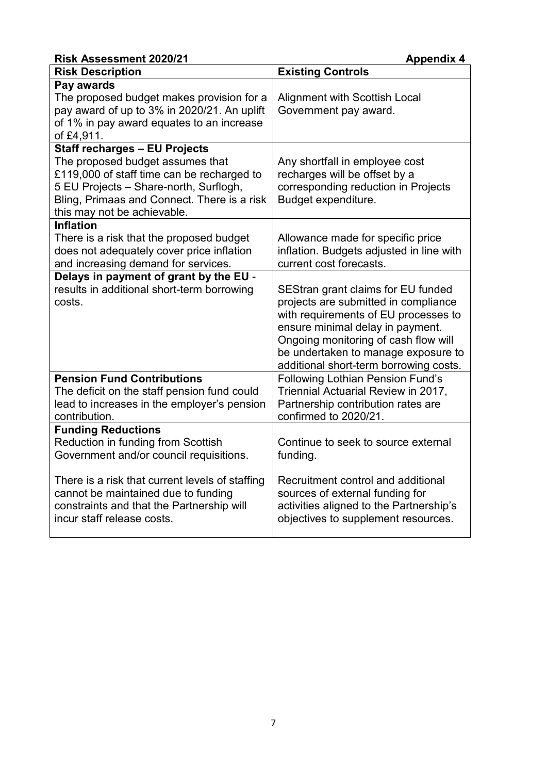| <b>Risk Assessment 2020/21</b>                                                                                                                                                                                                                 | <b>Appendix 4</b>                                                                                                                                                                                                                                                               |
|------------------------------------------------------------------------------------------------------------------------------------------------------------------------------------------------------------------------------------------------|---------------------------------------------------------------------------------------------------------------------------------------------------------------------------------------------------------------------------------------------------------------------------------|
| <b>Risk Description</b>                                                                                                                                                                                                                        | <b>Existing Controls</b>                                                                                                                                                                                                                                                        |
| Pay awards<br>The proposed budget makes provision for a<br>pay award of up to 3% in 2020/21. An uplift<br>of 1% in pay award equates to an increase<br>of £4,911.                                                                              | <b>Alignment with Scottish Local</b><br>Government pay award.                                                                                                                                                                                                                   |
| <b>Staff recharges - EU Projects</b><br>The proposed budget assumes that<br>£119,000 of staff time can be recharged to<br>5 EU Projects - Share-north, Surflogh,<br>Bling, Primaas and Connect. There is a risk<br>this may not be achievable. | Any shortfall in employee cost<br>recharges will be offset by a<br>corresponding reduction in Projects<br>Budget expenditure.                                                                                                                                                   |
| <b>Inflation</b><br>There is a risk that the proposed budget<br>does not adequately cover price inflation<br>and increasing demand for services.                                                                                               | Allowance made for specific price<br>inflation. Budgets adjusted in line with<br>current cost forecasts.                                                                                                                                                                        |
| Delays in payment of grant by the EU -<br>results in additional short-term borrowing<br>costs.                                                                                                                                                 | SEStran grant claims for EU funded<br>projects are submitted in compliance<br>with requirements of EU processes to<br>ensure minimal delay in payment.<br>Ongoing monitoring of cash flow will<br>be undertaken to manage exposure to<br>additional short-term borrowing costs. |
| <b>Pension Fund Contributions</b><br>The deficit on the staff pension fund could<br>lead to increases in the employer's pension<br>contribution.                                                                                               | <b>Following Lothian Pension Fund's</b><br>Triennial Actuarial Review in 2017,<br>Partnership contribution rates are<br>confirmed to 2020/21.                                                                                                                                   |
| <b>Funding Reductions</b><br>Reduction in funding from Scottish<br>Government and/or council requisitions.<br>There is a risk that current levels of staffing                                                                                  | Continue to seek to source external<br>funding.<br>Recruitment control and additional                                                                                                                                                                                           |
| cannot be maintained due to funding<br>constraints and that the Partnership will<br>incur staff release costs.                                                                                                                                 | sources of external funding for<br>activities aligned to the Partnership's<br>objectives to supplement resources.                                                                                                                                                               |